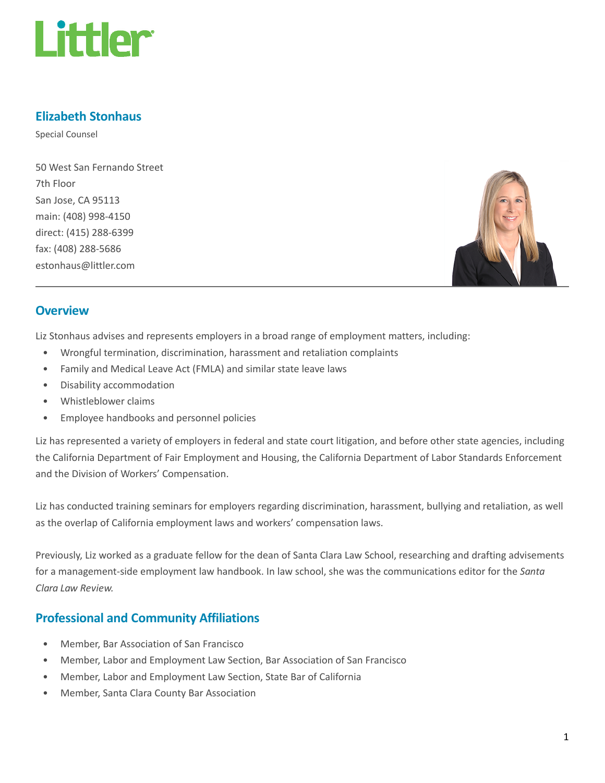

## Elizabeth Stonhaus

Special Counsel

50 West San Fernando Street 7th Floor San Jose, CA 95113 main: (408) 998-4150 direct: (415) 288-6399 fax: (408) 288-5686 estonhaus@littler.com



#### **Overview**

Liz Stonhaus advises and represents employers in a broad range of employment matters, including:

- Wrongful termination, discrimination, harassment and retaliation complaints
- Family and Medical Leave Act (FMLA) and similar state leave laws
- Disability accommodation
- Whistleblower claims
- Employee handbooks and personnel policies

Liz has represented a variety of employers in federal and state court litigation, and before other state agencies, including the California Department of Fair Employment and Housing, the California Department of Labor Standards Enforcement and the Division of Workers' Compensation.

Liz has conducted training seminars for employers regarding discrimination, harassment, bullying and retaliation, as well as the overlap of California employment laws and workers' compensation laws.

Previously, Liz worked as a graduate fellow for the dean of Santa Clara Law School, researching and drafting advisements for a management-side employment law handbook. In law school, she was the communications editor for the Santa Clara Law Review.

#### Professional and Community Affiliations

- Member, Bar Association of San Francisco
- Member, Labor and Employment Law Section, Bar Association of San Francisco
- Member, Labor and Employment Law Section, State Bar of California
- Member, Santa Clara County Bar Association